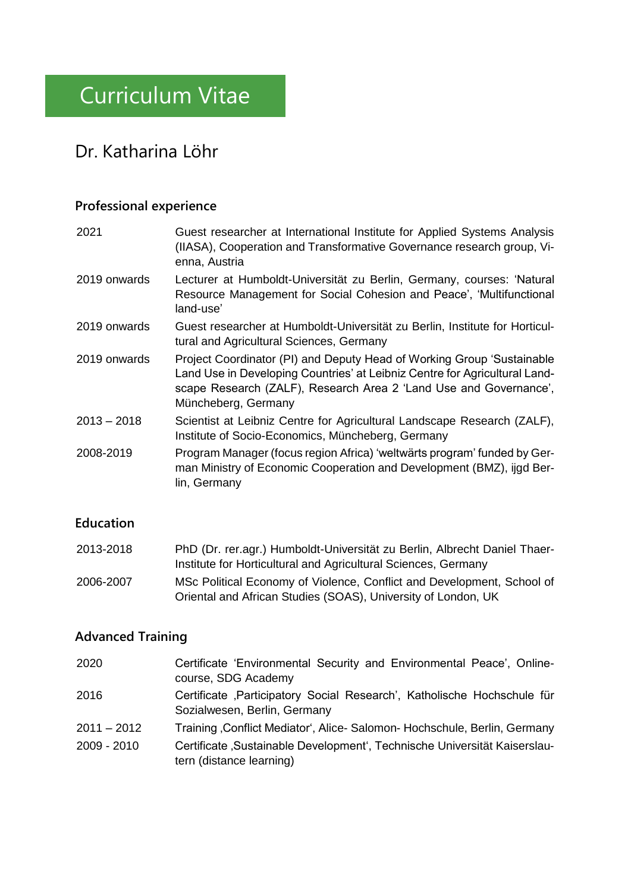# Curriculum Vitae

## Dr. Katharina Löhr

### **Professional experience**

| 2021          | Guest researcher at International Institute for Applied Systems Analysis<br>(IIASA), Cooperation and Transformative Governance research group, Vi-<br>enna, Austria                                                                              |
|---------------|--------------------------------------------------------------------------------------------------------------------------------------------------------------------------------------------------------------------------------------------------|
| 2019 onwards  | Lecturer at Humboldt-Universität zu Berlin, Germany, courses: 'Natural<br>Resource Management for Social Cohesion and Peace', 'Multifunctional<br>land-use'                                                                                      |
| 2019 onwards  | Guest researcher at Humboldt-Universität zu Berlin, Institute for Horticul-<br>tural and Agricultural Sciences, Germany                                                                                                                          |
| 2019 onwards  | Project Coordinator (PI) and Deputy Head of Working Group 'Sustainable<br>Land Use in Developing Countries' at Leibniz Centre for Agricultural Land-<br>scape Research (ZALF), Research Area 2 'Land Use and Governance',<br>Müncheberg, Germany |
| $2013 - 2018$ | Scientist at Leibniz Centre for Agricultural Landscape Research (ZALF),<br>Institute of Socio-Economics, Müncheberg, Germany                                                                                                                     |
| 2008-2019     | Program Manager (focus region Africa) 'weltwärts program' funded by Ger-<br>man Ministry of Economic Cooperation and Development (BMZ), ijgd Ber-<br>lin, Germany                                                                                |
|               |                                                                                                                                                                                                                                                  |

### **Education**

| 2013-2018 | PhD (Dr. rer.agr.) Humboldt-Universität zu Berlin, Albrecht Daniel Thaer- |
|-----------|---------------------------------------------------------------------------|
|           | Institute for Horticultural and Agricultural Sciences, Germany            |
| 2006-2007 | MSc Political Economy of Violence, Conflict and Development, School of    |
|           | Oriental and African Studies (SOAS), University of London, UK             |

### **Advanced Training**

| 2020          | Certificate 'Environmental Security and Environmental Peace', Online-<br>course, SDG Academy             |
|---------------|----------------------------------------------------------------------------------------------------------|
| 2016          | Certificate , Participatory Social Research', Katholische Hochschule für<br>Sozialwesen, Berlin, Germany |
| $2011 - 2012$ | Training, Conflict Mediator', Alice- Salomon- Hochschule, Berlin, Germany                                |
| 2009 - 2010   | Certificate, Sustainable Development', Technische Universität Kaiserslau-<br>tern (distance learning)    |